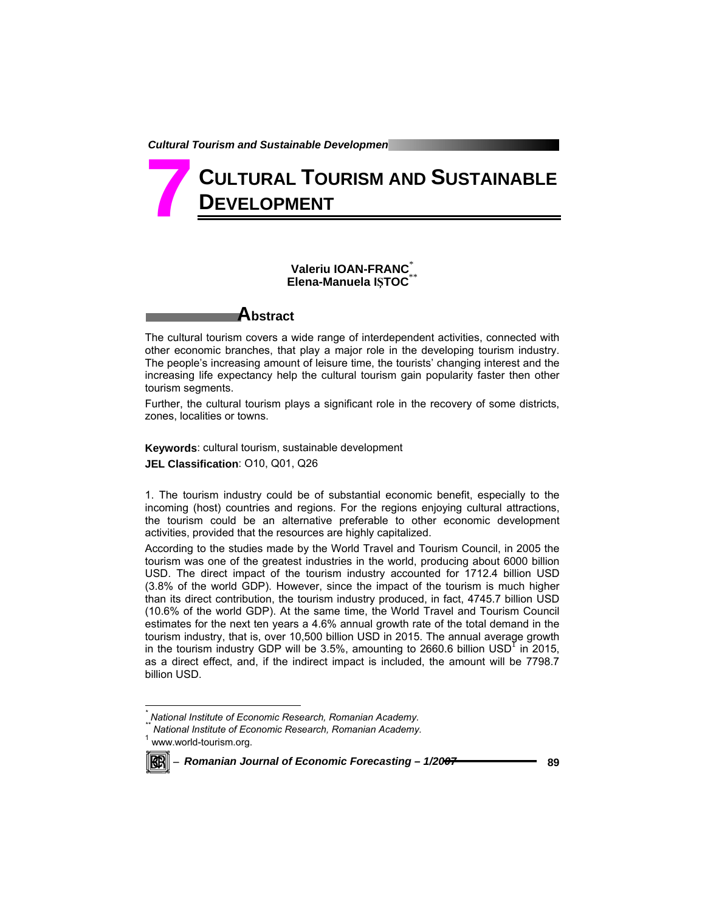# **CULTURAL TOURISM AND SUSTAINABLE DEVELOPMENT 7**

# **Valeriu IOAN-FRANC**\* **Elena-Manuela IŞTOC**\*\*



The cultural tourism covers a wide range of interdependent activities, connected with other economic branches, that play a major role in the developing tourism industry. The people's increasing amount of leisure time, the tourists' changing interest and the increasing life expectancy help the cultural tourism gain popularity faster then other tourism segments.

Further, the cultural tourism plays a significant role in the recovery of some districts, zones, localities or towns.

**Keywords**: cultural tourism, sustainable development **JEL Classification**: O10, Q01, Q26

1. The tourism industry could be of substantial economic benefit, especially to the incoming (host) countries and regions. For the regions enjoying cultural attractions, the tourism could be an alternative preferable to other economic development activities, provided that the resources are highly capitalized.

According to the studies made by the World Travel and Tourism Council, in 2005 the tourism was one of the greatest industries in the world, producing about 6000 billion USD. The direct impact of the tourism industry accounted for 1712.4 billion USD (3.8% of the world GDP). However, since the impact of the tourism is much higher than its direct contribution, the tourism industry produced, in fact, 4745.7 billion USD (10.6% of the world GDP). At the same time, the World Travel and Tourism Council estimates for the next ten years a 4.6% annual growth rate of the total demand in the tourism industry, that is, over 10,500 billion USD in 2015. The annual average growth in the tourism industry GDP will be  $3.5\%$ , amounting to  $2660.6$  billion USD<sup>1</sup> in 2015, as a direct effect, and, if the indirect impact is included, the amount will be 7798.7 billion USD.

*<sup>\*\*</sup> National Institute of Economic Research, Romanian Academy.*  1 www.world-tourism.org.



l

<sup>−</sup> *Romanian Journal of Economic Forecasting – 1/2007* **89**

*<sup>\*</sup> National Institute of Economic Research, Romanian Academy.*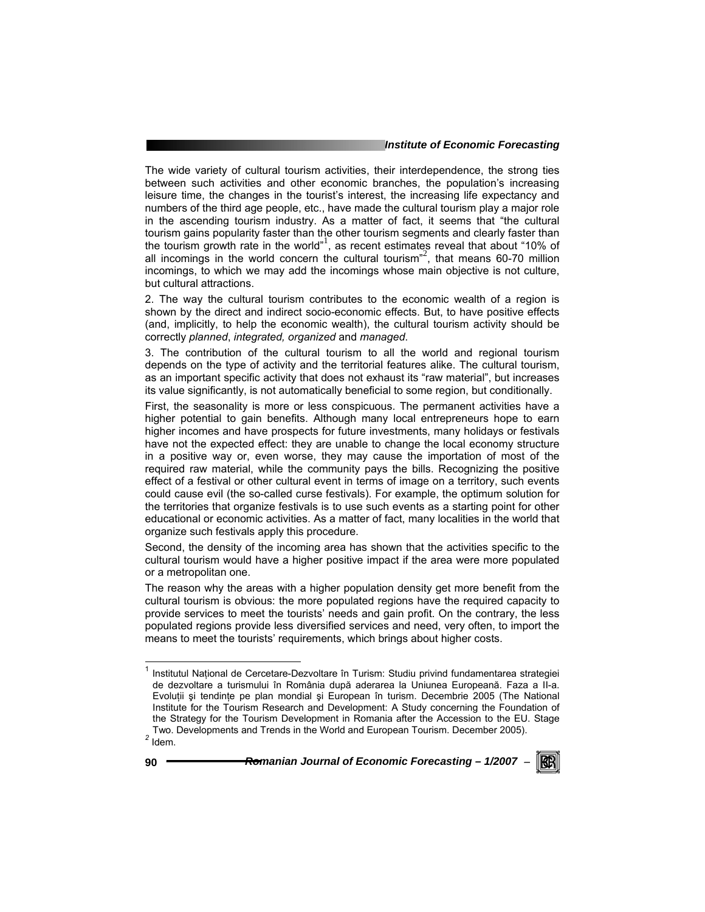The wide variety of cultural tourism activities, their interdependence, the strong ties between such activities and other economic branches, the population's increasing leisure time, the changes in the tourist's interest, the increasing life expectancy and numbers of the third age people, etc., have made the cultural tourism play a major role in the ascending tourism industry. As a matter of fact, it seems that "the cultural tourism gains popularity faster than the other tourism segments and clearly faster than the tourism growth rate in the world"<sup>1</sup>, as recent estimates reveal that about "10% of all incomings in the world concern the cultural tourism<sup>32</sup>, that means 60-70 million incomings, to which we may add the incomings whose main objective is not culture, but cultural attractions.

2. The way the cultural tourism contributes to the economic wealth of a region is shown by the direct and indirect socio-economic effects. But, to have positive effects (and, implicitly, to help the economic wealth), the cultural tourism activity should be correctly *planned*, *integrated, organized* and *managed*.

3. The contribution of the cultural tourism to all the world and regional tourism depends on the type of activity and the territorial features alike. The cultural tourism, as an important specific activity that does not exhaust its "raw material", but increases its value significantly, is not automatically beneficial to some region, but conditionally.

First, the seasonality is more or less conspicuous. The permanent activities have a higher potential to gain benefits. Although many local entrepreneurs hope to earn higher incomes and have prospects for future investments, many holidays or festivals have not the expected effect: they are unable to change the local economy structure in a positive way or, even worse, they may cause the importation of most of the required raw material, while the community pays the bills. Recognizing the positive effect of a festival or other cultural event in terms of image on a territory, such events could cause evil (the so-called curse festivals). For example, the optimum solution for the territories that organize festivals is to use such events as a starting point for other educational or economic activities. As a matter of fact, many localities in the world that organize such festivals apply this procedure.

Second, the density of the incoming area has shown that the activities specific to the cultural tourism would have a higher positive impact if the area were more populated or a metropolitan one.

The reason why the areas with a higher population density get more benefit from the cultural tourism is obvious: the more populated regions have the required capacity to provide services to meet the tourists' needs and gain profit. On the contrary, the less populated regions provide less diversified services and need, very often, to import the means to meet the tourists' requirements, which brings about higher costs.



<sup>1&</sup>lt;br><sup>1</sup> Institutul Național de Cercetare-Dezvoltare în Turism: Studiu privind fundamentarea strategiei de dezvoltare a turismului în România după aderarea la Uniunea Europeană. Faza a II-a. Evoluții și tendințe pe plan mondial și European în turism. Decembrie 2005 (The National Institute for the Tourism Research and Development: A Study concerning the Foundation of the Strategy for the Tourism Development in Romania after the Accession to the EU. Stage Two. Developments and Trends in the World and European Tourism. December 2005). *<sup>2</sup>* Idem.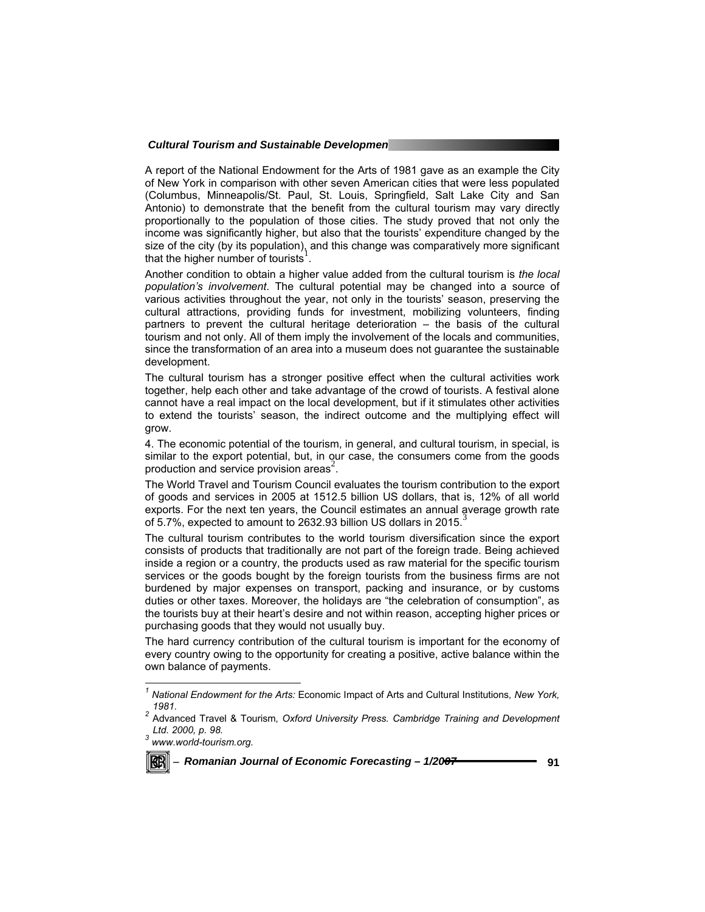A report of the National Endowment for the Arts of 1981 gave as an example the City of New York in comparison with other seven American cities that were less populated (Columbus, Minneapolis/St. Paul, St. Louis, Springfield, Salt Lake City and San Antonio) to demonstrate that the benefit from the cultural tourism may vary directly proportionally to the population of those cities. The study proved that not only the income was significantly higher, but also that the tourists' expenditure changed by the size of the city (by its population), and this change was comparatively more significant that the higher number of tourists<sup>1</sup>.

Another condition to obtain a higher value added from the cultural tourism is *the local population's involvement*. The cultural potential may be changed into a source of various activities throughout the year, not only in the tourists' season, preserving the cultural attractions, providing funds for investment, mobilizing volunteers, finding partners to prevent the cultural heritage deterioration – the basis of the cultural tourism and not only. All of them imply the involvement of the locals and communities, since the transformation of an area into a museum does not guarantee the sustainable development.

The cultural tourism has a stronger positive effect when the cultural activities work together, help each other and take advantage of the crowd of tourists. A festival alone cannot have a real impact on the local development, but if it stimulates other activities to extend the tourists' season, the indirect outcome and the multiplying effect will grow.

4. The economic potential of the tourism, in general, and cultural tourism, in special, is similar to the export potential, but, in our case, the consumers come from the goods production and service provision areas<sup>2</sup>.

The World Travel and Tourism Council evaluates the tourism contribution to the export of goods and services in 2005 at 1512.5 billion US dollars, that is, 12% of all world exports. For the next ten years, the Council estimates an annual average growth rate of 5.7%, expected to amount to 2632.93 billion US dollars in 2015.

The cultural tourism contributes to the world tourism diversification since the export consists of products that traditionally are not part of the foreign trade. Being achieved inside a region or a country, the products used as raw material for the specific tourism services or the goods bought by the foreign tourists from the business firms are not burdened by major expenses on transport, packing and insurance, or by customs duties or other taxes. Moreover, the holidays are "the celebration of consumption", as the tourists buy at their heart's desire and not within reason, accepting higher prices or purchasing goods that they would not usually buy.

The hard currency contribution of the cultural tourism is important for the economy of every country owing to the opportunity for creating a positive, active balance within the own balance of payments.



 *1 National Endowment for the Arts:* Economic Impact of Arts and Cultural Institutions*, New York,* 

*<sup>1981. 2</sup>* Advanced Travel & Tourism*, Oxford University Press. Cambridge Training and Development Ltd. 2000, p. 98. 3 www.world-tourism.org.*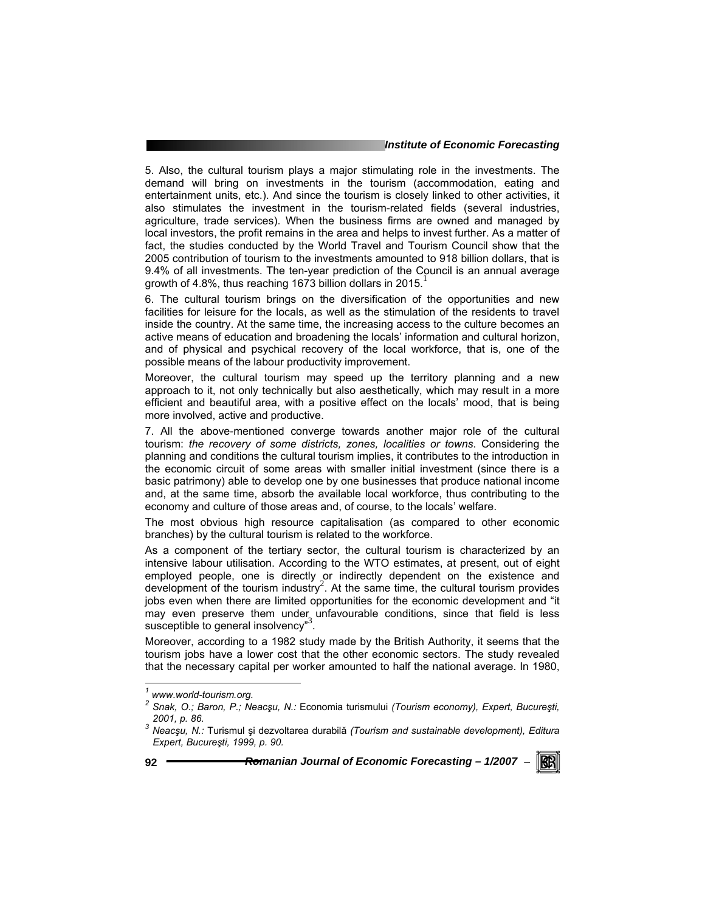5. Also, the cultural tourism plays a major stimulating role in the investments. The demand will bring on investments in the tourism (accommodation, eating and entertainment units, etc.). And since the tourism is closely linked to other activities, it also stimulates the investment in the tourism-related fields (several industries, agriculture, trade services). When the business firms are owned and managed by local investors, the profit remains in the area and helps to invest further. As a matter of fact, the studies conducted by the World Travel and Tourism Council show that the 2005 contribution of tourism to the investments amounted to 918 billion dollars, that is 9.4% of all investments. The ten-year prediction of the Council is an annual average growth of 4.8%, thus reaching 1673 billion dollars in 2015.

6. The cultural tourism brings on the diversification of the opportunities and new facilities for leisure for the locals, as well as the stimulation of the residents to travel inside the country. At the same time, the increasing access to the culture becomes an active means of education and broadening the locals' information and cultural horizon, and of physical and psychical recovery of the local workforce, that is, one of the possible means of the labour productivity improvement.

Moreover, the cultural tourism may speed up the territory planning and a new approach to it, not only technically but also aesthetically, which may result in a more efficient and beautiful area, with a positive effect on the locals' mood, that is being more involved, active and productive.

7. All the above-mentioned converge towards another major role of the cultural tourism: *the recovery of some districts, zones, localities or towns*. Considering the planning and conditions the cultural tourism implies, it contributes to the introduction in the economic circuit of some areas with smaller initial investment (since there is a basic patrimony) able to develop one by one businesses that produce national income and, at the same time, absorb the available local workforce, thus contributing to the economy and culture of those areas and, of course, to the locals' welfare.

The most obvious high resource capitalisation (as compared to other economic branches) by the cultural tourism is related to the workforce.

As a component of the tertiary sector, the cultural tourism is characterized by an intensive labour utilisation. According to the WTO estimates, at present, out of eight employed people, one is directly or indirectly dependent on the existence and development of the tourism industry<sup>2</sup>. At the same time, the cultural tourism provides jobs even when there are limited opportunities for the economic development and "it may even preserve them under unfavourable conditions, since that field is less susceptible to general insolvency<sup>3</sup>.

Moreover, according to a 1982 study made by the British Authority, it seems that the tourism jobs have a lower cost that the other economic sectors. The study revealed that the necessary capital per worker amounted to half the national average. In 1980,

**92** *Romanian Journal of Economic Forecasting – 1/2007* <sup>−</sup>

RGRI

 *1 www.world-tourism.org.* 

*<sup>2</sup> Snak, O.; Baron, P.; Neacşu, N.:* Economia turismului *(Tourism economy), Expert, Bucureşti, 2001, p. 86. 3 Neacşu, N.:* Turismul şi dezvoltarea durabilă *(Tourism and sustainable development), Editura* 

*Expert, Bucureşti, 1999, p. 90.*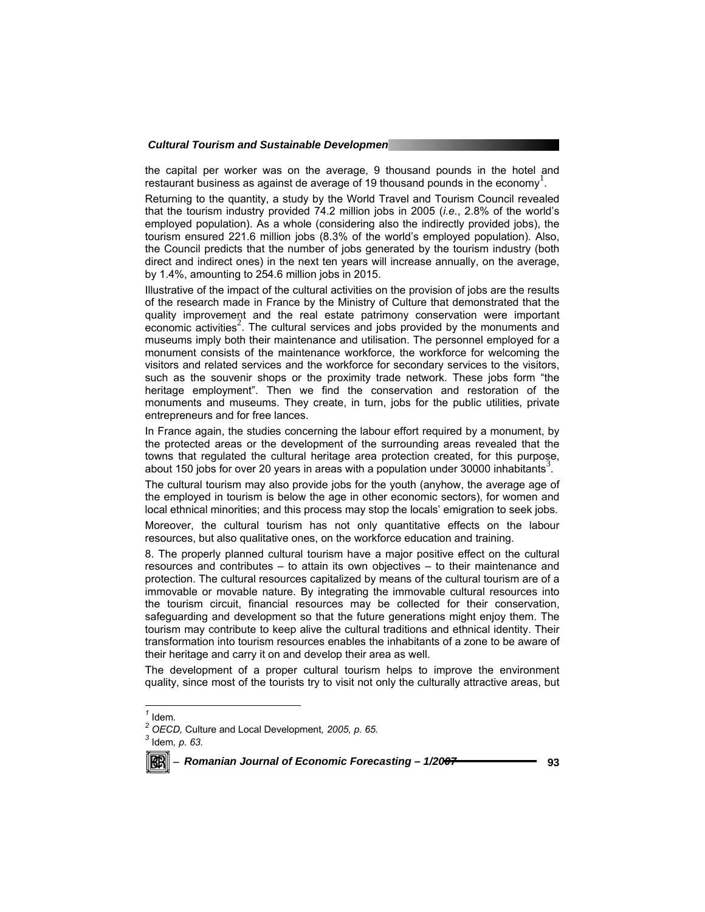the capital per worker was on the average, 9 thousand pounds in the hotel and restaurant business as against de average of 19 thousand pounds in the economy<sup>1</sup>.

Returning to the quantity, a study by the World Travel and Tourism Council revealed that the tourism industry provided 74.2 million jobs in 2005 (*i.e.*, 2.8% of the world's employed population). As a whole (considering also the indirectly provided jobs), the tourism ensured 221.6 million jobs (8.3% of the world's employed population). Also, the Council predicts that the number of jobs generated by the tourism industry (both direct and indirect ones) in the next ten years will increase annually, on the average, by 1.4%, amounting to 254.6 million jobs in 2015.

Illustrative of the impact of the cultural activities on the provision of jobs are the results of the research made in France by the Ministry of Culture that demonstrated that the quality improvement and the real estate patrimony conservation were important economic activities<sup>2</sup>. The cultural services and jobs provided by the monuments and museums imply both their maintenance and utilisation. The personnel employed for a monument consists of the maintenance workforce, the workforce for welcoming the visitors and related services and the workforce for secondary services to the visitors, such as the souvenir shops or the proximity trade network. These jobs form "the heritage employment". Then we find the conservation and restoration of the monuments and museums. They create, in turn, jobs for the public utilities, private entrepreneurs and for free lances.

In France again, the studies concerning the labour effort required by a monument, by the protected areas or the development of the surrounding areas revealed that the towns that regulated the cultural heritage area protection created, for this purpose, about 150 jobs for over 20 years in areas with a population under 30000 inhabitants<sup>3</sup>.

The cultural tourism may also provide jobs for the youth (anyhow, the average age of the employed in tourism is below the age in other economic sectors), for women and local ethnical minorities; and this process may stop the locals' emigration to seek jobs.

Moreover, the cultural tourism has not only quantitative effects on the labour resources, but also qualitative ones, on the workforce education and training.

8. The properly planned cultural tourism have a major positive effect on the cultural resources and contributes – to attain its own objectives – to their maintenance and protection. The cultural resources capitalized by means of the cultural tourism are of a immovable or movable nature. By integrating the immovable cultural resources into the tourism circuit, financial resources may be collected for their conservation, safeguarding and development so that the future generations might enjoy them. The tourism may contribute to keep alive the cultural traditions and ethnical identity. Their transformation into tourism resources enables the inhabitants of a zone to be aware of their heritage and carry it on and develop their area as well.

The development of a proper cultural tourism helps to improve the environment quality, since most of the tourists try to visit not only the culturally attractive areas, but

l

*OECD,* Culture and Local Development*, 2005, p. 65. 3* Idem*, p. 63.* 



<sup>−</sup> *Romanian Journal of Economic Forecasting – 1/2007* **93**

 $\frac{1}{2}$  Idem.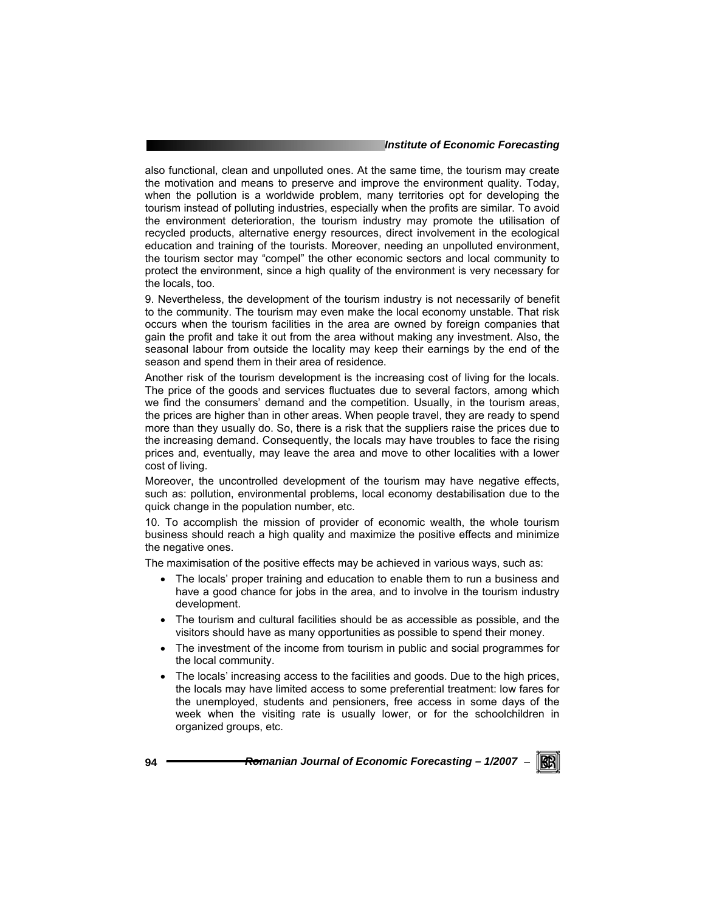also functional, clean and unpolluted ones. At the same time, the tourism may create the motivation and means to preserve and improve the environment quality. Today, when the pollution is a worldwide problem, many territories opt for developing the tourism instead of polluting industries, especially when the profits are similar. To avoid the environment deterioration, the tourism industry may promote the utilisation of recycled products, alternative energy resources, direct involvement in the ecological education and training of the tourists. Moreover, needing an unpolluted environment, the tourism sector may "compel" the other economic sectors and local community to protect the environment, since a high quality of the environment is very necessary for the locals, too.

9. Nevertheless, the development of the tourism industry is not necessarily of benefit to the community. The tourism may even make the local economy unstable. That risk occurs when the tourism facilities in the area are owned by foreign companies that gain the profit and take it out from the area without making any investment. Also, the seasonal labour from outside the locality may keep their earnings by the end of the season and spend them in their area of residence.

Another risk of the tourism development is the increasing cost of living for the locals. The price of the goods and services fluctuates due to several factors, among which we find the consumers' demand and the competition. Usually, in the tourism areas, the prices are higher than in other areas. When people travel, they are ready to spend more than they usually do. So, there is a risk that the suppliers raise the prices due to the increasing demand. Consequently, the locals may have troubles to face the rising prices and, eventually, may leave the area and move to other localities with a lower cost of living.

Moreover, the uncontrolled development of the tourism may have negative effects, such as: pollution, environmental problems, local economy destabilisation due to the quick change in the population number, etc.

10. To accomplish the mission of provider of economic wealth, the whole tourism business should reach a high quality and maximize the positive effects and minimize the negative ones.

The maximisation of the positive effects may be achieved in various ways, such as:

- The locals' proper training and education to enable them to run a business and have a good chance for jobs in the area, and to involve in the tourism industry development.
- The tourism and cultural facilities should be as accessible as possible, and the visitors should have as many opportunities as possible to spend their money.
- The investment of the income from tourism in public and social programmes for the local community.
- The locals' increasing access to the facilities and goods. Due to the high prices, the locals may have limited access to some preferential treatment: low fares for the unemployed, students and pensioners, free access in some days of the week when the visiting rate is usually lower, or for the schoolchildren in organized groups, etc.

KERI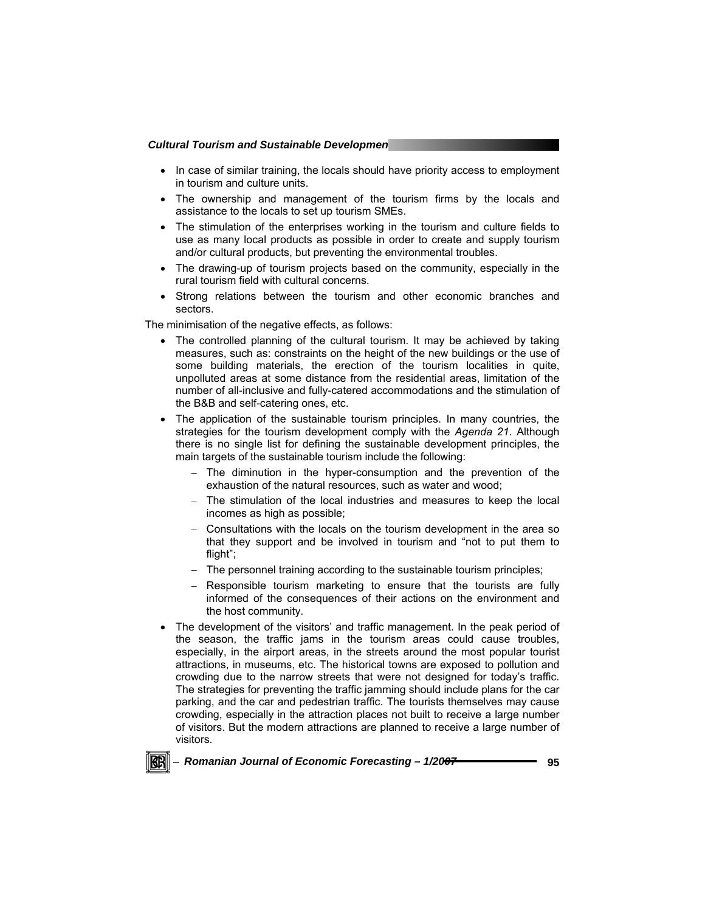- In case of similar training, the locals should have priority access to employment in tourism and culture units.
- The ownership and management of the tourism firms by the locals and assistance to the locals to set up tourism SMEs.
- The stimulation of the enterprises working in the tourism and culture fields to use as many local products as possible in order to create and supply tourism and/or cultural products, but preventing the environmental troubles.
- The drawing-up of tourism projects based on the community, especially in the rural tourism field with cultural concerns.
- Strong relations between the tourism and other economic branches and sectors.

The minimisation of the negative effects, as follows:

- The controlled planning of the cultural tourism. It may be achieved by taking measures, such as: constraints on the height of the new buildings or the use of some building materials, the erection of the tourism localities in quite, unpolluted areas at some distance from the residential areas, limitation of the number of all-inclusive and fully-catered accommodations and the stimulation of the B&B and self-catering ones, etc.
- The application of the sustainable tourism principles. In many countries, the strategies for the tourism development comply with the *Agenda 21*. Although there is no single list for defining the sustainable development principles, the main targets of the sustainable tourism include the following:
	- The diminution in the hyper-consumption and the prevention of the exhaustion of the natural resources, such as water and wood;
	- − The stimulation of the local industries and measures to keep the local incomes as high as possible;
	- − Consultations with the locals on the tourism development in the area so that they support and be involved in tourism and "not to put them to flight";
	- − The personnel training according to the sustainable tourism principles;
	- − Responsible tourism marketing to ensure that the tourists are fully informed of the consequences of their actions on the environment and the host community.
- The development of the visitors' and traffic management. In the peak period of the season, the traffic jams in the tourism areas could cause troubles, especially, in the airport areas, in the streets around the most popular tourist attractions, in museums, etc. The historical towns are exposed to pollution and crowding due to the narrow streets that were not designed for today's traffic. The strategies for preventing the traffic jamming should include plans for the car parking, and the car and pedestrian traffic. The tourists themselves may cause crowding, especially in the attraction places not built to receive a large number of visitors. But the modern attractions are planned to receive a large number of visitors.



<sup>−</sup> *Romanian Journal of Economic Forecasting – 1/2007* **95**